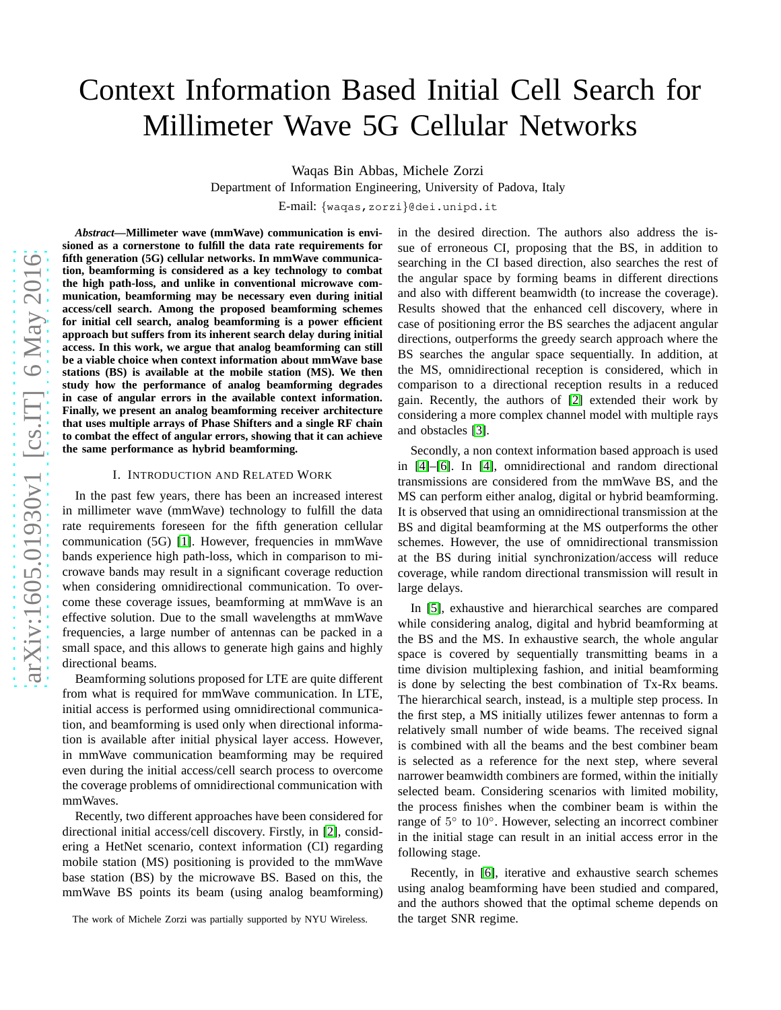# Context Information Based Initial Cell Search for Millimeter Wave 5G Cellular Networks

Waqas Bin Abbas, Michele Zorzi

Department of Information Engineering, University of Padova, Italy

E-mail: {waqas,zorzi}@dei.unipd.it

*Abstract***—Millimeter wave (mmWave) communication is envisioned as a cornerstone to fulfill the data rate requirements for fifth generation (5G) cellular networks. In mmWave communication, beamforming is considered as a key technology to combat the high path-loss, and unlike in conventional microwave communication, beamforming may be necessary even during initial access/cell search. Among the proposed beamforming schemes for initial cell search, analog beamforming is a power efficient approach but suffers from its inherent search delay during initial access. In this work, we argue that analog beamforming can still be a viable choice when context information about mmWave base stations (BS) is available at the mobile station (MS). We then study how the performance of analog beamforming degrades in case of angular errors in the available context information. Finally, we present an analog beamforming receiver architecture that uses multiple arrays of Phase Shifters and a single RF chain to combat the effect of angular errors, showing that it can achieve the same performance as hybrid beamforming.**

# I. INTRODUCTION AND RELATED WORK

In the past few years, there has been an increased interest in millimeter wave (mmWave) technology to fulfill the data rate requirements foreseen for the fifth generation cellular communication (5G) [\[1\]](#page-6-0). However, frequencies in mmWave bands experience high path-loss, which in comparison to microwave bands may result in a significant coverage reduction when considering omnidirectional communication. To overcome these coverage issues, beamforming at mmWave is an effective solution. Due to the small wavelengths at mmWave frequencies, a large number of antennas can be packed in a small space, and this allows to generate high gains and highly directional beams.

Beamforming solutions proposed for LTE are quite different from what is required for mmWave communication. In LTE, initial access is performed using omnidirectional communication, and beamforming is used only when directional information is available after initial physical layer access. However, in mmWave communication beamforming may be required even during the initial access/cell search process to overcome the coverage problems of omnidirectional communication with mmWaves.

Recently, two different approaches have been considered for directional initial access/cell discovery. Firstly, in [\[2\]](#page-6-1), considering a HetNet scenario, context information (CI) regarding mobile station (MS) positioning is provided to the mmWave base station (BS) by the microwave BS. Based on this, the mmWave BS points its beam (using analog beamforming) in the desired direction. The authors also address the issue of erroneous CI, proposing that the BS, in addition to searching in the CI based direction, also searches the rest of the angular space by forming beams in different directions and also with different beamwidth (to increase the coverage). Results showed that the enhanced cell discovery, where in case of positioning error the BS searches the adjacent angular directions, outperforms the greedy search approach where the BS searches the angular space sequentially. In addition, at the MS, omnidirectional reception is considered, which in comparison to a directional reception results in a reduced gain. Recently, the authors of [\[2\]](#page-6-1) extended their work by considering a more complex channel model with multiple rays and obstacles [\[3\]](#page-6-2).

Secondly, a non context information based approach is used in [\[4\]](#page-6-3)–[\[6\]](#page-6-4). In [\[4\]](#page-6-3), omnidirectional and random directional transmissions are considered from the mmWave BS, and the MS can perform either analog, digital or hybrid beamforming. It is observed that using an omnidirectional transmission at the BS and digital beamforming at the MS outperforms the other schemes. However, the use of omnidirectional transmission at the BS during initial synchronization/access will reduce coverage, while random directional transmission will result in large delays.

In [\[5\]](#page-6-5), exhaustive and hierarchical searches are compared while considering analog, digital and hybrid beamforming at the BS and the MS. In exhaustive search, the whole angular space is covered by sequentially transmitting beams in a time division multiplexing fashion, and initial beamforming is done by selecting the best combination of Tx-Rx beams. The hierarchical search, instead, is a multiple step process. In the first step, a MS initially utilizes fewer antennas to form a relatively small number of wide beams. The received signal is combined with all the beams and the best combiner beam is selected as a reference for the next step, where several narrower beamwidth combiners are formed, within the initially selected beam. Considering scenarios with limited mobility, the process finishes when the combiner beam is within the range of 5° to 10°. However, selecting an incorrect combiner in the initial stage can result in an initial access error in the following stage.

Recently, in [\[6\]](#page-6-4), iterative and exhaustive search schemes using analog beamforming have been studied and compared, and the authors showed that the optimal scheme depends on the target SNR regime.

The work of Michele Zorzi was partially supported by NYU Wireless.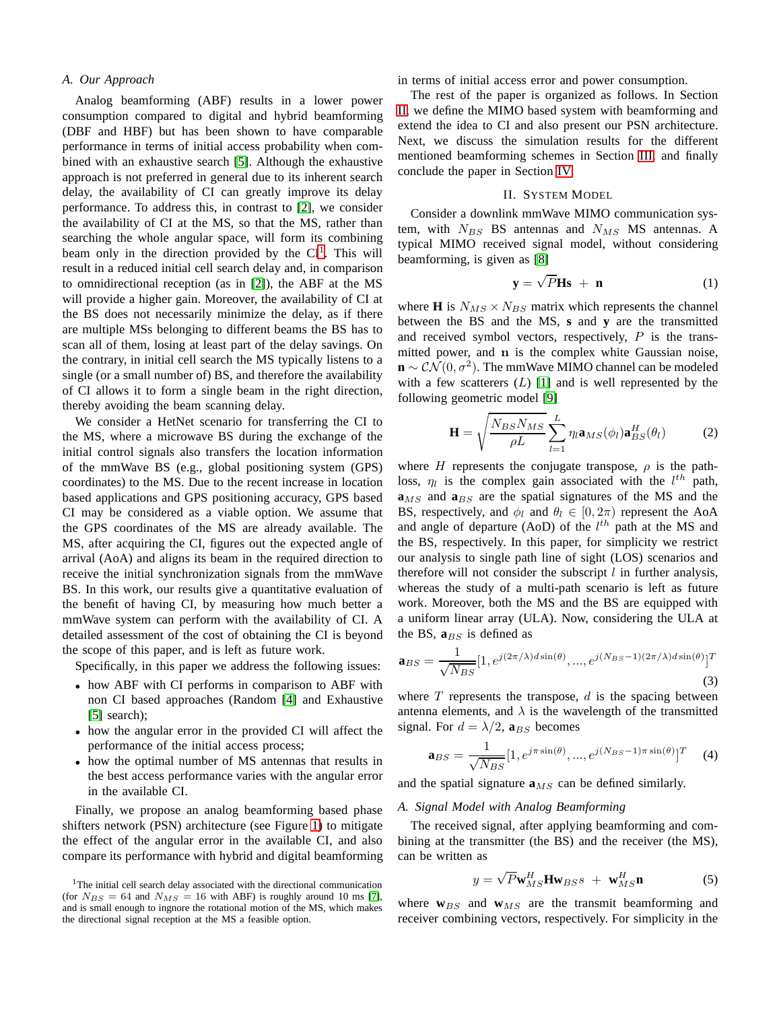# *A. Our Approach*

Analog beamforming (ABF) results in a lower power consumption compared to digital and hybrid beamforming (DBF and HBF) but has been shown to have comparable performance in terms of initial access probability when combined with an exhaustive search [\[5\]](#page-6-5). Although the exhaustive approach is not preferred in general due to its inherent search delay, the availability of CI can greatly improve its delay performance. To address this, in contrast to [\[2\]](#page-6-1), we consider the availability of CI at the MS, so that the MS, rather than searching the whole angular space, will form its combining beam only in the direction provided by the  $Cl<sup>1</sup>$  $Cl<sup>1</sup>$  $Cl<sup>1</sup>$ . This will result in a reduced initial cell search delay and, in comparison to omnidirectional reception (as in [\[2\]](#page-6-1)), the ABF at the MS will provide a higher gain. Moreover, the availability of CI at the BS does not necessarily minimize the delay, as if there are multiple MSs belonging to different beams the BS has to scan all of them, losing at least part of the delay savings. On the contrary, in initial cell search the MS typically listens to a single (or a small number of) BS, and therefore the availability of CI allows it to form a single beam in the right direction, thereby avoiding the beam scanning delay.

We consider a HetNet scenario for transferring the CI to the MS, where a microwave BS during the exchange of the initial control signals also transfers the location information of the mmWave BS (e.g., global positioning system (GPS) coordinates) to the MS. Due to the recent increase in location based applications and GPS positioning accuracy, GPS based CI may be considered as a viable option. We assume that the GPS coordinates of the MS are already available. The MS, after acquiring the CI, figures out the expected angle of arrival (AoA) and aligns its beam in the required direction to receive the initial synchronization signals from the mmWave BS. In this work, our results give a quantitative evaluation of the benefit of having CI, by measuring how much better a mmWave system can perform with the availability of CI. A detailed assessment of the cost of obtaining the CI is beyond the scope of this paper, and is left as future work.

Specifically, in this paper we address the following issues:

- how ABF with CI performs in comparison to ABF with non CI based approaches (Random [\[4\]](#page-6-3) and Exhaustive [\[5\]](#page-6-5) search);
- how the angular error in the provided CI will affect the performance of the initial access process;
- how the optimal number of MS antennas that results in the best access performance varies with the angular error in the available CI.

Finally, we propose an analog beamforming based phase shifters network (PSN) architecture (see Figure [1\)](#page-2-0) to mitigate the effect of the angular error in the available CI, and also compare its performance with hybrid and digital beamforming in terms of initial access error and power consumption.

The rest of the paper is organized as follows. In Section [II,](#page-1-1) we define the MIMO based system with beamforming and extend the idea to CI and also present our PSN architecture. Next, we discuss the simulation results for the different mentioned beamforming schemes in Section [III,](#page-3-0) and finally conclude the paper in Section [IV.](#page-5-0)

# II. SYSTEM MODEL

<span id="page-1-1"></span>Consider a downlink mmWave MIMO communication system, with  $N_{BS}$  BS antennas and  $N_{MS}$  MS antennas. A typical MIMO received signal model, without considering beamforming, is given as [\[8\]](#page-6-7)

$$
\mathbf{y} = \sqrt{P} \mathbf{H} \mathbf{s} + \mathbf{n} \tag{1}
$$

where **H** is  $N_{MS} \times N_{BS}$  matrix which represents the channel between the BS and the MS, **s** and **y** are the transmitted and received symbol vectors, respectively,  $P$  is the transmitted power, and n is the complex white Gaussian noise,  $\mathbf{n} \sim \mathcal{CN}(0, \sigma^2)$ . The mmWave MIMO channel can be modeled with a few scatterers  $(L)$  [\[1\]](#page-6-0) and is well represented by the following geometric model [\[9\]](#page-6-8)

$$
\mathbf{H} = \sqrt{\frac{N_{BS}N_{MS}}{\rho L}} \sum_{l=1}^{L} \eta_l \mathbf{a}_{MS}(\phi_l) \mathbf{a}_{BS}^H(\theta_l)
$$
(2)

where H represents the conjugate transpose,  $\rho$  is the pathloss,  $\eta_l$  is the complex gain associated with the  $l^{th}$  path,  $\mathbf{a}_{MS}$  and  $\mathbf{a}_{BS}$  are the spatial signatures of the MS and the BS, respectively, and  $\phi_l$  and  $\theta_l \in [0, 2\pi)$  represent the AoA and angle of departure (AoD) of the  $l^{th}$  path at the MS and the BS, respectively. In this paper, for simplicity we restrict our analysis to single path line of sight (LOS) scenarios and therefore will not consider the subscript  $l$  in further analysis, whereas the study of a multi-path scenario is left as future work. Moreover, both the MS and the BS are equipped with a uniform linear array (ULA). Now, considering the ULA at the BS,  $\mathbf{a}_{BS}$  is defined as

$$
\mathbf{a}_{BS} = \frac{1}{\sqrt{N_{BS}}} [1, e^{j(2\pi/\lambda)d\sin(\theta)}, ..., e^{j(N_{BS}-1)(2\pi/\lambda)d\sin(\theta)}]^T
$$
\n(3)

where  $T$  represents the transpose,  $d$  is the spacing between antenna elements, and  $\lambda$  is the wavelength of the transmitted signal. For  $d = \lambda/2$ ,  $\mathbf{a}_{BS}$  becomes

$$
\mathbf{a}_{BS} = \frac{1}{\sqrt{N_{BS}}} [1, e^{j\pi \sin(\theta)}, ..., e^{j(N_{BS} - 1)\pi \sin(\theta)}]^T
$$
 (4)

and the spatial signature  $\mathbf{a}_{MS}$  can be defined similarly.

#### *A. Signal Model with Analog Beamforming*

The received signal, after applying beamforming and combining at the transmitter (the BS) and the receiver (the MS), can be written as

<span id="page-1-2"></span>
$$
y = \sqrt{P} \mathbf{w}_{MS}^H \mathbf{H} \mathbf{w}_{BS} s + \mathbf{w}_{MS}^H \mathbf{n}
$$
 (5)

where  $w_{BS}$  and  $w_{MS}$  are the transmit beamforming and receiver combining vectors, respectively. For simplicity in the

<span id="page-1-0"></span><sup>&</sup>lt;sup>1</sup>The initial cell search delay associated with the directional communication (for  $N_{BS} = 64$  and  $N_{MS} = 16$  with ABF) is roughly around 10 ms [\[7\]](#page-6-6), and is small enough to ingnore the rotational motion of the MS, which makes the directional signal reception at the MS a feasible option.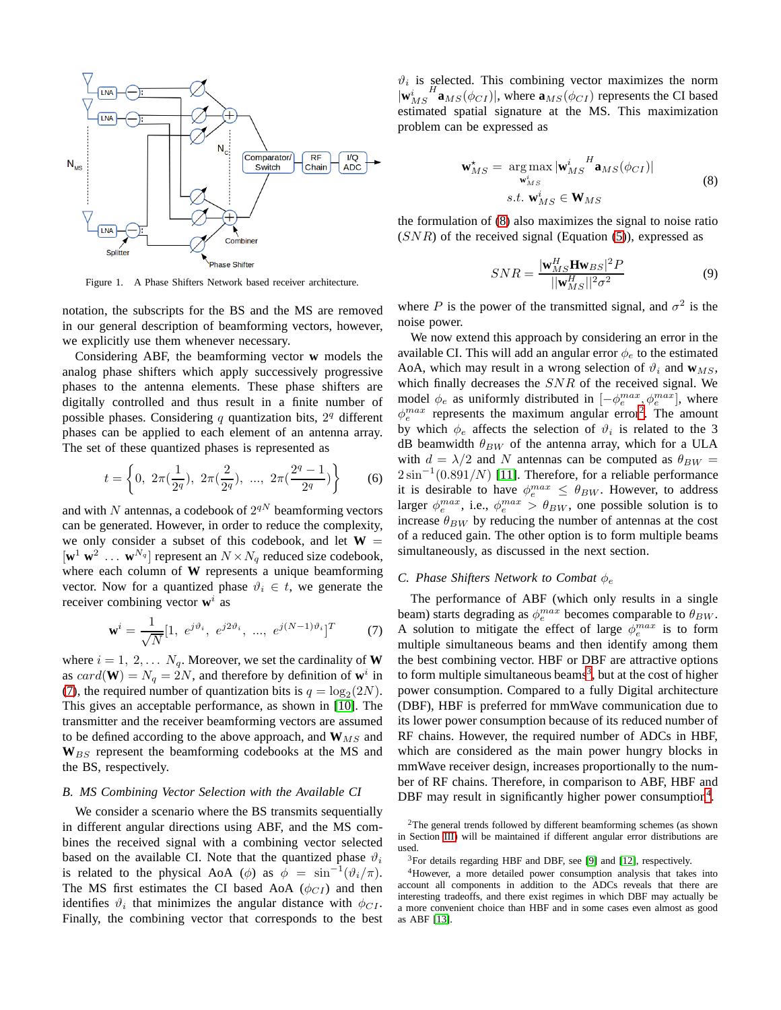

<span id="page-2-0"></span>Figure 1. A Phase Shifters Network based receiver architecture.

notation, the subscripts for the BS and the MS are removed in our general description of beamforming vectors, however, we explicitly use them whenever necessary.

Considering ABF, the beamforming vector **w** models the analog phase shifters which apply successively progressive phases to the antenna elements. These phase shifters are digitally controlled and thus result in a finite number of possible phases. Considering  $q$  quantization bits,  $2^q$  different phases can be applied to each element of an antenna array. The set of these quantized phases is represented as

$$
t = \left\{0, 2\pi(\frac{1}{2^q}), 2\pi(\frac{2}{2^q}), \dots, 2\pi(\frac{2^q-1}{2^q})\right\}
$$
 (6)

and with N antennas, a codebook of  $2^{qN}$  beamforming vectors can be generated. However, in order to reduce the complexity, we only consider a subset of this codebook, and let  $W =$  $[\mathbf{w}^1 \ \mathbf{w}^2 \ \dots \ \mathbf{w}^{N_q}]$  represent an  $N \times N_q$  reduced size codebook, where each column of **W** represents a unique beamforming vector. Now for a quantized phase  $\vartheta_i \in t$ , we generate the receiver combining vector  $w^i$  as

<span id="page-2-1"></span>
$$
\mathbf{w}^{i} = \frac{1}{\sqrt{N}} [1, e^{j\vartheta_{i}}, e^{j2\vartheta_{i}}, ..., e^{j(N-1)\vartheta_{i}}]^{T}
$$
 (7)

where  $i = 1, 2, \ldots N_q$ . Moreover, we set the cardinality of **W** as  $card(\mathbf{W}) = N_q = 2N$ , and therefore by definition of  $\mathbf{w}^i$  in [\(7\)](#page-2-1), the required number of quantization bits is  $q = \log_2(2N)$ . This gives an acceptable performance, as shown in [\[10\]](#page-6-9). The transmitter and the receiver beamforming vectors are assumed to be defined according to the above approach, and  $W_{MS}$  and  $W_{BS}$  represent the beamforming codebooks at the MS and the BS, respectively.

# *B. MS Combining Vector Selection with the Available CI*

We consider a scenario where the BS transmits sequentially in different angular directions using ABF, and the MS combines the received signal with a combining vector selected based on the available CI. Note that the quantized phase  $\vartheta_i$ is related to the physical AoA ( $\phi$ ) as  $\phi = \sin^{-1}(\vartheta_i/\pi)$ . The MS first estimates the CI based AoA ( $\phi_{CI}$ ) and then identifies  $\vartheta_i$  that minimizes the angular distance with  $\phi_{CI}$ . Finally, the combining vector that corresponds to the best

 $\vartheta_i$  is selected. This combining vector maximizes the norm  $|\mathbf{w}^i_{MS}$  $\mathbf{H}_{\mathbf{a}_{MS}(\phi_{CI})}$ , where  $\mathbf{a}_{MS}(\phi_{CI})$  represents the CI based estimated spatial signature at the MS. This maximization problem can be expressed as

$$
\mathbf{w}_{MS}^{\star} = \underset{\mathbf{w}_{MS}^{i}}{\arg \max} |\mathbf{w}_{MS}^{i}^{H} \mathbf{a}_{MS}(\phi_{CI})|
$$
\n
$$
s.t. \mathbf{w}_{MS}^{i} \in \mathbf{W}_{MS}
$$
\n(8)

<span id="page-2-2"></span>the formulation of [\(8\)](#page-2-2) also maximizes the signal to noise ratio  $(SNR)$  of the received signal (Equation [\(5\)](#page-1-2)), expressed as

<span id="page-2-6"></span>
$$
SNR = \frac{|\mathbf{w}_{MS}^H \mathbf{H} \mathbf{w}_{BS}|^2 P}{||\mathbf{w}_{MS}^H||^2 \sigma^2}
$$
(9)

where P is the power of the transmitted signal, and  $\sigma^2$  is the noise power.

We now extend this approach by considering an error in the available CI. This will add an angular error  $\phi_e$  to the estimated AoA, which may result in a wrong selection of  $\vartheta_i$  and  $\mathbf{w}_{MS}$ , which finally decreases the  $SNR$  of the received signal. We model  $\phi_e$  as uniformly distributed in  $[-\phi_e^{max}, \phi_e^{max}]$ , where  $\phi_e^{max}$  represents the maximum angular error<sup>[2](#page-2-3)</sup>. The amount by which  $\phi_e$  affects the selection of  $\vartheta_i$  is related to the 3 dB beamwidth  $\theta_{BW}$  of the antenna array, which for a ULA with  $d = \lambda/2$  and N antennas can be computed as  $\theta_{BW} =$  $2 \sin^{-1}(0.891/N)$  [\[11\]](#page-6-10). Therefore, for a reliable performance it is desirable to have  $\phi_e^{max} \leq \theta_{BW}$ . However, to address larger  $\phi_e^{max}$ , i.e.,  $\phi_e^{max} > \theta_{BW}$ , one possible solution is to increase  $\theta_{BW}$  by reducing the number of antennas at the cost of a reduced gain. The other option is to form multiple beams simultaneously, as discussed in the next section.

#### *C. Phase Shifters Network to Combat* φ<sup>e</sup>

The performance of ABF (which only results in a single beam) starts degrading as  $\phi_e^{max}$  becomes comparable to  $\theta_{BW}$ . A solution to mitigate the effect of large  $\phi_e^{max}$  is to form multiple simultaneous beams and then identify among them the best combining vector. HBF or DBF are attractive options to form multiple simultaneous beams<sup>[3](#page-2-4)</sup>, but at the cost of higher power consumption. Compared to a fully Digital architecture (DBF), HBF is preferred for mmWave communication due to its lower power consumption because of its reduced number of RF chains. However, the required number of ADCs in HBF, which are considered as the main power hungry blocks in mmWave receiver design, increases proportionally to the number of RF chains. Therefore, in comparison to ABF, HBF and DBF may result in significantly higher power consumption<sup>[4](#page-2-5)</sup>.

<span id="page-2-3"></span><sup>2</sup>The general trends followed by different beamforming schemes (as shown in Section [III\)](#page-3-0) will be maintained if different angular error distributions are used.

<span id="page-2-4"></span><sup>3</sup>For details regarding HBF and DBF, see [\[9\]](#page-6-8) and [\[12\]](#page-6-11), respectively.

<span id="page-2-5"></span><sup>4</sup>However, a more detailed power consumption analysis that takes into account all components in addition to the ADCs reveals that there are interesting tradeoffs, and there exist regimes in which DBF may actually be a more convenient choice than HBF and in some cases even almost as good as ABF [\[13\]](#page-6-12).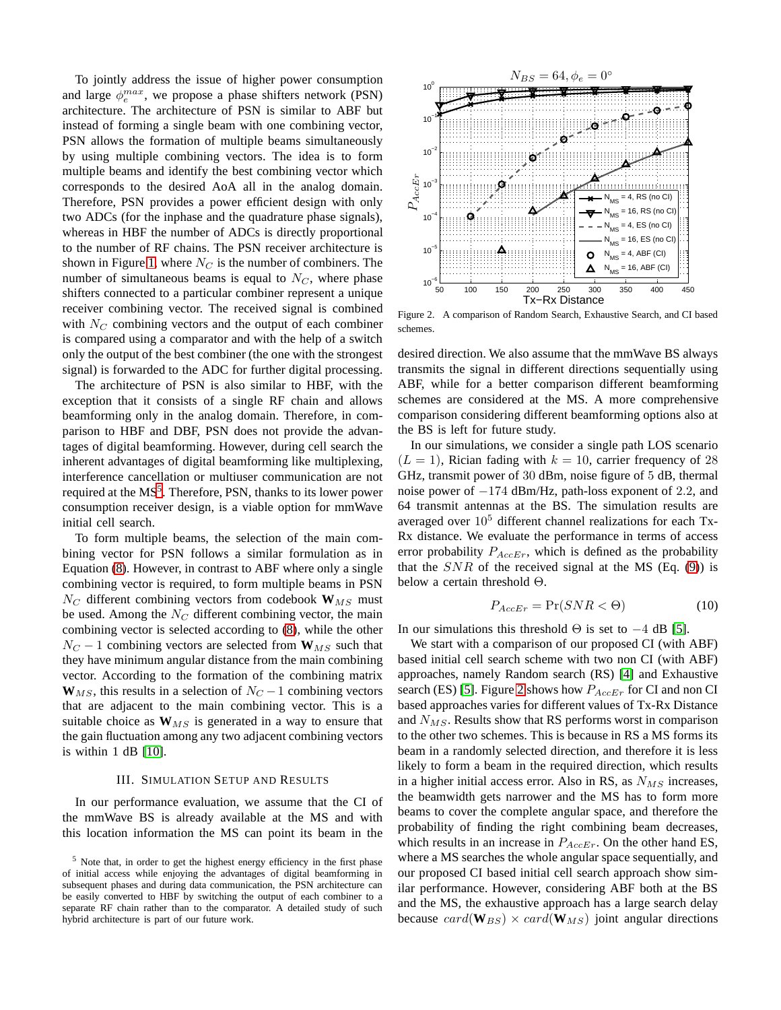To jointly address the issue of higher power consumption and large  $\phi_e^{max}$ , we propose a phase shifters network (PSN) architecture. The architecture of PSN is similar to ABF but instead of forming a single beam with one combining vector, PSN allows the formation of multiple beams simultaneously by using multiple combining vectors. The idea is to form multiple beams and identify the best combining vector which corresponds to the desired AoA all in the analog domain. Therefore, PSN provides a power efficient design with only two ADCs (for the inphase and the quadrature phase signals), whereas in HBF the number of ADCs is directly proportional to the number of RF chains. The PSN receiver architecture is<br>the main Figure 1 and the main discontinued in Strag replacements shown in Figure [1,](#page-2-0) where  $N_C$  is the number of number of simultaneous beams is equal to  $N_C$ , where phase shifters connected to a particular combiner represent a unique receiver combining vector. The received signal is combined with  $N<sub>C</sub>$  combining vectors and the output of each combiner is compared using a comparator and with the help of a switch only the output of the best combiner (the one with the strongest signal) is forwarded to the ADC for further digital processing.

The architecture of PSN is also similar to HBF, with the exception that it consists of a single RF chain and allows beamforming only in the analog domain. Therefore, in comparison to HBF and DBF, PSN does not provide the advantages of digital beamforming. However, during cell search the inherent advantages of digital beamforming like multiplexing, interference cancellation or multiuser communication are not required at the MS<sup>[5](#page-3-1)</sup>. Therefore, PSN, thanks to its lower power consumption receiver design, is a viable option for mmWave initial cell search.

To form multiple beams, the selection of the main combining vector for PSN follows a similar formulation as in Equation [\(8\)](#page-2-2). However, in contrast to ABF where only a single combining vector is required, to form multiple beams in PSN  $N_C$  different combining vectors from codebook  $W_{MS}$  must be used. Among the  $N_C$  different combining vector, the main combining vector is selected according to [\(8\)](#page-2-2), while the other  $N_C - 1$  combining vectors are selected from  $W_{MS}$  such that they have minimum angular distance from the main combining vector. According to the formation of the combining matrix  $W_{MS}$ , this results in a selection of  $N_C - 1$  combining vectors that are adjacent to the main combining vector. This is a suitable choice as  $W_{MS}$  is generated in a way to ensure that the gain fluctuation among any two adjacent combining vectors is within 1 dB [\[10\]](#page-6-9).

#### III. SIMULATION SETUP AND RESULTS

<span id="page-3-0"></span>In our performance evaluation, we assume that the CI of the mmWave BS is already available at the MS and with this location information the MS can point its beam in the



<span id="page-3-2"></span>Figure 2. A comparison of Random Search, Exhaustive Search, and CI based schemes.

desired direction. We also assume that the mmWave BS always transmits the signal in different directions sequentially using ABF, while for a better comparison different beamforming schemes are considered at the MS. A more comprehensive comparison considering different beamforming options also at the BS is left for future study.

In our simulations, we consider a single path LOS scenario  $(L = 1)$ , Rician fading with  $k = 10$ , carrier frequency of 28 GHz, transmit power of 30 dBm, noise figure of 5 dB, thermal noise power of −174 dBm/Hz, path-loss exponent of 2.2, and 64 transmit antennas at the BS. The simulation results are averaged over  $10<sup>5</sup>$  different channel realizations for each Tx-Rx distance. We evaluate the performance in terms of access error probability  $P_{AccEr}$ , which is defined as the probability that the  $SNR$  of the received signal at the MS (Eq. [\(9\)](#page-2-6)) is below a certain threshold Θ.

$$
P_{AccEr} = \Pr(SNR < \Theta) \tag{10}
$$

In our simulations this threshold  $\Theta$  is set to  $-4$  dB [\[5\]](#page-6-5).

We start with a comparison of our proposed CI (with ABF) based initial cell search scheme with two non CI (with ABF) approaches, namely Random search (RS) [\[4\]](#page-6-3) and Exhaustive search (ES) [\[5\]](#page-6-5). Figure [2](#page-3-2) shows how  $P_{AccEr}$  for CI and non CI based approaches varies for different values of Tx-Rx Distance and  $N_{MS}$ . Results show that RS performs worst in comparison to the other two schemes. This is because in RS a MS forms its beam in a randomly selected direction, and therefore it is less likely to form a beam in the required direction, which results in a higher initial access error. Also in RS, as  $N_{MS}$  increases, the beamwidth gets narrower and the MS has to form more beams to cover the complete angular space, and therefore the probability of finding the right combining beam decreases, which results in an increase in  $P_{AccEr}$ . On the other hand ES, where a MS searches the whole angular space sequentially, and our proposed CI based initial cell search approach show similar performance. However, considering ABF both at the BS and the MS, the exhaustive approach has a large search delay because  $card(\mathbf{W}_{BS}) \times card(\mathbf{W}_{MS})$  joint angular directions

<span id="page-3-1"></span><sup>5</sup> Note that, in order to get the highest energy efficiency in the first phase of initial access while enjoying the advantages of digital beamforming in subsequent phases and during data communication, the PSN architecture can be easily converted to HBF by switching the output of each combiner to a separate RF chain rather than to the comparator. A detailed study of such hybrid architecture is part of our future work.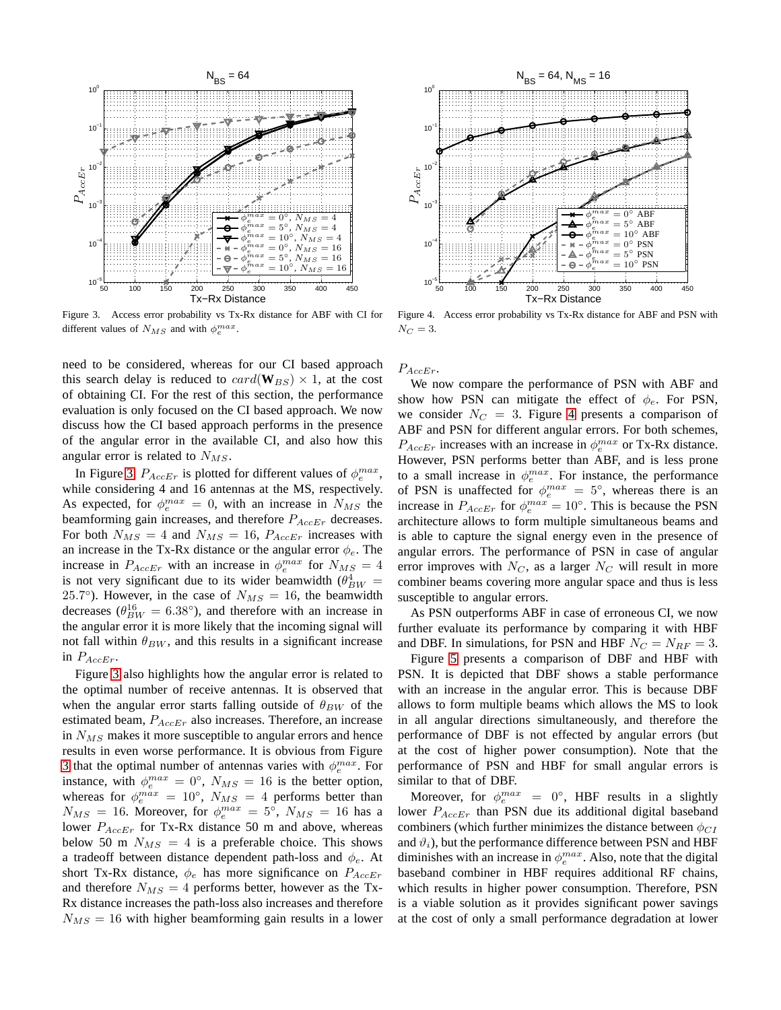

<span id="page-4-0"></span>Figure 3. Access error probability vs Tx-Rx distance for ABF with CI for different values of  $N_{MS}$  and with  $\phi_e^{max}$ .

need to be considered, whereas for our CI based approach this search delay is reduced to  $card(\mathbf{W}_{BS}) \times 1$ , at the cost of obtaining CI. For the rest of this section, the performance evaluation is only focused on the CI based approach. We now discuss how the CI based approach performs in the presence of the angular error in the available CI, and also how this angular error is related to  $N_{MS}$ .

In Figure [3,](#page-4-0)  $P_{AccEr}$  is plotted for different values of  $\phi_e^{max}$ , while considering 4 and 16 antennas at the MS, respectively. As expected, for  $\phi_e^{max} = 0$ , with an increase in  $N_{MS}$  the beamforming gain increases, and therefore  $P_{AccEr}$  decreases. For both  $N_{MS} = 4$  and  $N_{MS} = 16$ ,  $P_{AccEr}$  increases with an increase in the Tx-Rx distance or the angular error  $\phi_e$ . The increase in  $P_{AccEr}$  with an increase in  $\phi_e^{max}$  for  $N_{MS} = 4$ is not very significant due to its wider beamwidth  $(\theta_{BW}^4 =$ 25.7°). However, in the case of  $N_{MS} = 16$ , the beamwidth decreases ( $\theta_{BW}^{16} = 6.38^{\circ}$ ), and therefore with an increase in the angular error it is more likely that the incoming signal will not fall within  $\theta_{BW}$ , and this results in a significant increase in  $P_{AccEr}$ .

Figure [3](#page-4-0) also highlights how the angular error is related to the optimal number of receive antennas. It is observed that when the angular error starts falling outside of  $\theta_{BW}$  of the estimated beam,  $P_{AccEr}$  also increases. Therefore, an increase in  $N_{MS}$  makes it more susceptible to angular errors and hence results in even worse performance. It is obvious from Figure [3](#page-4-0) that the optimal number of antennas varies with  $\phi_e^{max}$ . For instance, with  $\phi_e^{max} = 0^\circ$ ,  $N_{MS} = 16$  is the better option, whereas for  $\phi_e^{max} = 10^\circ$ ,  $N_{MS} = 4$  performs better than  $N_{MS} = 16$ . Moreover, for  $\phi_e^{max} = 5^{\circ}$ ,  $N_{MS} = 16$  has a lower  $P_{AccEr}$  for Tx-Rx distance 50 m and above, whereas below 50 m  $N_{MS} = 4$  is a preferable choice. This shows a tradeoff between distance dependent path-loss and  $\phi_e$ . At short Tx-Rx distance,  $\phi_e$  has more significance on  $P_{AccEr}$ and therefore  $N_{MS} = 4$  performs better, however as the Tx-Rx distance increases the path-loss also increases and therefore  $N_{MS} = 16$  with higher beamforming gain results in a lower



<span id="page-4-1"></span>Figure 4. Access error probability vs Tx-Rx distance for ABF and PSN with  $N_C = 3$ .

 $P_{AccEr}$ .

We now compare the performance of PSN with ABF and show how PSN can mitigate the effect of  $\phi_e$ . For PSN, we consider  $N_C = 3$ . Figure [4](#page-4-1) presents a comparison of ABF and PSN for different angular errors. For both schemes,  $P_{AccEr}$  increases with an increase in  $\phi_e^{max}$  or Tx-Rx distance. However, PSN performs better than ABF, and is less prone to a small increase in  $\phi_e^{max}$ . For instance, the performance of PSN is unaffected for  $\phi_e^{max} = 5^\circ$ , whereas there is an increase in  $P_{AccEr}$  for  $\phi_e^{max} = 10^\circ$ . This is because the PSN architecture allows to form multiple simultaneous beams and is able to capture the signal energy even in the presence of angular errors. The performance of PSN in case of angular error improves with  $N_C$ , as a larger  $N_C$  will result in more combiner beams covering more angular space and thus is less susceptible to angular errors.

As PSN outperforms ABF in case of erroneous CI, we now further evaluate its performance by comparing it with HBF and DBF. In simulations, for PSN and HBF  $N_C = N_{RF} = 3$ .

Figure [5](#page-5-1) presents a comparison of DBF and HBF with PSN. It is depicted that DBF shows a stable performance with an increase in the angular error. This is because DBF allows to form multiple beams which allows the MS to look in all angular directions simultaneously, and therefore the performance of DBF is not effected by angular errors (but at the cost of higher power consumption). Note that the performance of PSN and HBF for small angular errors is similar to that of DBF.

Moreover, for  $\phi_e^{max} = 0^\circ$ , HBF results in a slightly lower  $P_{AccEr}$  than PSN due its additional digital baseband combiners (which further minimizes the distance between  $\phi_{CI}$ and  $\vartheta_i$ ), but the performance difference between PSN and HBF diminishes with an increase in  $\phi_e^{max}$ . Also, note that the digital baseband combiner in HBF requires additional RF chains, which results in higher power consumption. Therefore, PSN is a viable solution as it provides significant power savings at the cost of only a small performance degradation at lower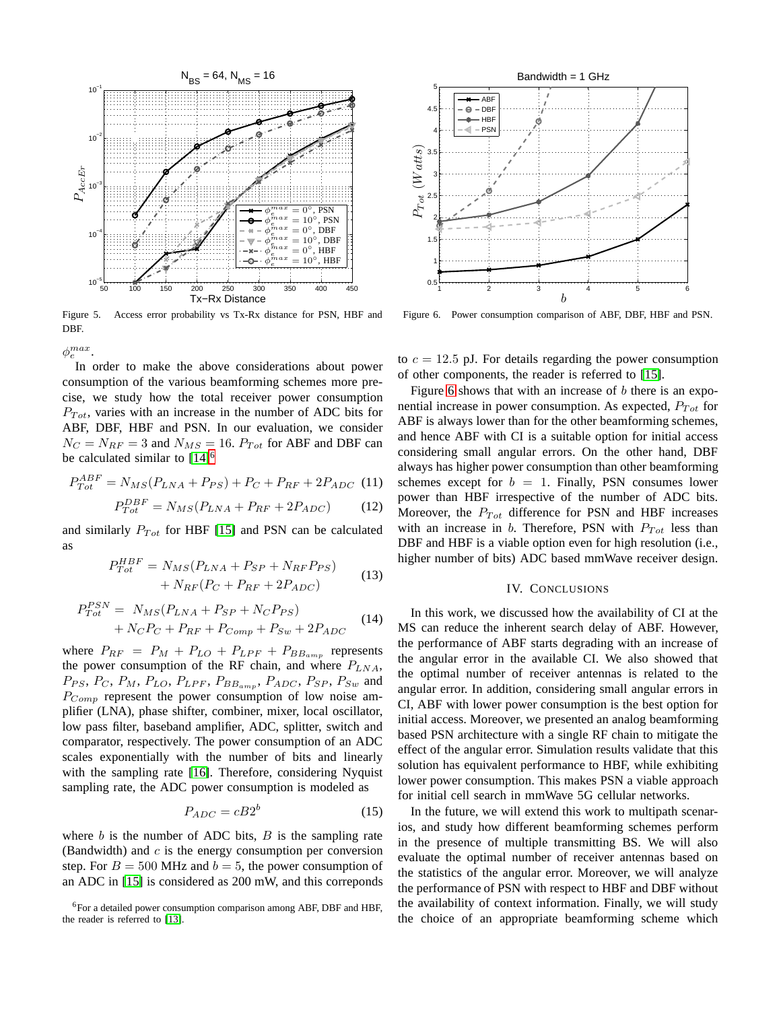

<span id="page-5-1"></span>Figure 5. Access error probability vs Tx-Rx distance for PSN, HBF and DBF.

 $\phi_e^{max}$ .

In order to make the above considerations about power consumption of the various beamforming schemes more precise, we study how the total receiver power consumption  $P_{Tot}$ , varies with an increase in the number of ADC bits for ABF, DBF, HBF and PSN. In our evaluation, we consider  $N_C = N_{RF} = 3$  and  $N_{MS} = 16$ .  $P_{Tot}$  for ABF and DBF can be calculated similar to  $[14]$ <sup>[6](#page-5-2)</sup>

$$
P_{Tot}^{ABF} = N_{MS}(P_{LNA} + P_{PS}) + P_C + P_{RF} + 2P_{ADC} \tag{11}
$$

$$
P_{Tot}^{DBF} = N_{MS}(P_{LNA} + P_{RF} + 2P_{ADC})
$$
 (12)

and similarly  $P_{Tot}$  for HBF [\[15\]](#page-6-14) and PSN can be calculated as

$$
P_{Tot}^{HBF} = N_{MS}(P_{LNA} + P_{SP} + N_{RF}P_{PS}) + N_{RF}(P_C + P_{RF} + 2P_{ADC})
$$
\n(13)

$$
P_{Tot}^{PSN} = N_{MS}(P_{LNA} + P_{SP} + N_C P_{PS}) + N_C P_C + P_{RF} + P_{Comp} + P_{Sw} + 2P_{ADC}
$$
(14)

where  $P_{RF} = P_M + P_{LO} + P_{LPF} + P_{BB_{amp}}$  represents the power consumption of the RF chain, and where  $P_{LNA}$ ,  $P_{PS}, P_C, P_M, P_{LO}, P_{LPF}, P_{BB_{amp}}, P_{ADC}, P_{SP}, P_{Sw}$  and  $P_{Comp}$  represent the power consumption of low noise amplifier (LNA), phase shifter, combiner, mixer, local oscillator, low pass filter, baseband amplifier, ADC, splitter, switch and comparator, respectively. The power consumption of an ADC scales exponentially with the number of bits and linearly with the sampling rate [\[16\]](#page-6-15). Therefore, considering Nyquist sampling rate, the ADC power consumption is modeled as

$$
P_{ADC} = cB2^b \tag{15}
$$

where  $b$  is the number of ADC bits,  $B$  is the sampling rate (Bandwidth) and  $c$  is the energy consumption per conversion step. For  $B = 500$  MHz and  $b = 5$ , the power consumption of an ADC in [\[15\]](#page-6-14) is considered as 200 mW, and this correponds

<span id="page-5-2"></span><sup>6</sup>For a detailed power consumption comparison among ABF, DBF and HBF, the reader is referred to [\[13\]](#page-6-12).



<span id="page-5-3"></span>Figure 6. Power consumption comparison of ABF, DBF, HBF and PSN.

to  $c = 12.5$  pJ. For details regarding the power consumption of other components, the reader is referred to [\[15\]](#page-6-14).

Figure [6](#page-5-3) shows that with an increase of  $b$  there is an exponential increase in power consumption. As expected,  $P_{Tot}$  for ABF is always lower than for the other beamforming schemes, and hence ABF with CI is a suitable option for initial access considering small angular errors. On the other hand, DBF always has higher power consumption than other beamforming schemes except for  $b = 1$ . Finally, PSN consumes lower power than HBF irrespective of the number of ADC bits. Moreover, the  $P_{Tot}$  difference for PSN and HBF increases with an increase in b. Therefore, PSN with  $P_{Tot}$  less than DBF and HBF is a viable option even for high resolution (i.e., higher number of bits) ADC based mmWave receiver design.

# IV. CONCLUSIONS

<span id="page-5-0"></span>In this work, we discussed how the availability of CI at the MS can reduce the inherent search delay of ABF. However, the performance of ABF starts degrading with an increase of the angular error in the available CI. We also showed that the optimal number of receiver antennas is related to the angular error. In addition, considering small angular errors in CI, ABF with lower power consumption is the best option for initial access. Moreover, we presented an analog beamforming based PSN architecture with a single RF chain to mitigate the effect of the angular error. Simulation results validate that this solution has equivalent performance to HBF, while exhibiting lower power consumption. This makes PSN a viable approach for initial cell search in mmWave 5G cellular networks.

In the future, we will extend this work to multipath scenarios, and study how different beamforming schemes perform in the presence of multiple transmitting BS. We will also evaluate the optimal number of receiver antennas based on the statistics of the angular error. Moreover, we will analyze the performance of PSN with respect to HBF and DBF without the availability of context information. Finally, we will study the choice of an appropriate beamforming scheme which